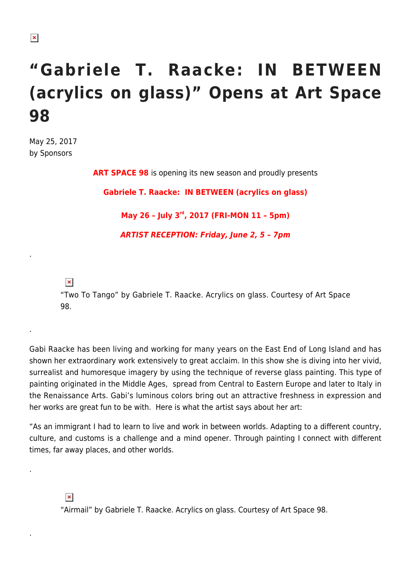## **"Gabriele T. Raacke: IN BETWEEN (acrylics on glass)" Opens at Art Space 98**

May 25, 2017 by Sponsors

**ART SPACE 98** is opening its new season and proudly presents

**Gabriele T. Raacke: IN BETWEEN (acrylics on glass)**

**May 26 – July 3rd, 2017 (FRI-MON 11 – 5pm)**

*ARTIST RECEPTION: Friday, June 2, 5 – 7pm*

 $\pmb{\times}$ 

.

.

.

.

"Two To Tango" by Gabriele T. Raacke. Acrylics on glass. Courtesy of Art Space 98.

Gabi Raacke has been living and working for many years on the East End of Long Island and has shown her extraordinary work extensively to great acclaim. In this show she is diving into her vivid, surrealist and humoresque imagery by using the technique of reverse glass painting. This type of painting originated in the Middle Ages, spread from Central to Eastern Europe and later to Italy in the Renaissance Arts. Gabi's luminous colors bring out an attractive freshness in expression and her works are great fun to be with. Here is what the artist says about her art:

"As an immigrant I had to learn to live and work in between worlds. Adapting to a different country, culture, and customs is a challenge and a mind opener. Through painting I connect with different times, far away places, and other worlds.

## $\pmb{\times}$

"Airmail" by Gabriele T. Raacke. Acrylics on glass. Courtesy of Art Space 98.